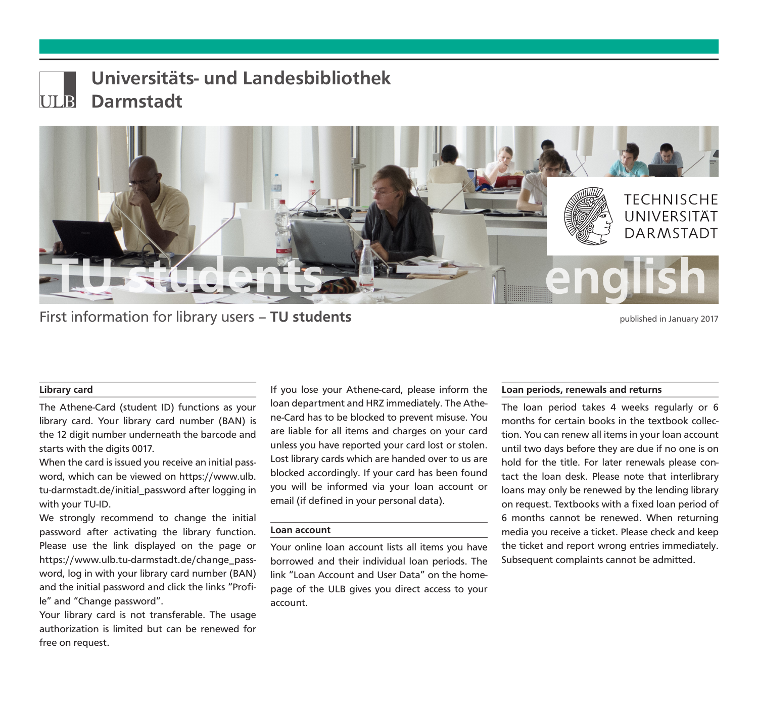

# Universitäts- und Landesbibliothek Darmstadt



First information for library users – **TU students** experience that the published in January 2017

## Library card

The Athene-Card (student ID) functions as your library card. Your library card number (BAN) is the 12 digit number underneath the barcode and starts with the digits 0017.

When the card is issued you receive an initial password, which can be viewed on https://www.ulb. tu-darmstadt.de/initial\_password after logging in with your TU-ID.

We strongly recommend to change the initial password after activating the library function. Please use the link displayed on the page or https://www.ulb.tu-darmstadt.de/change\_password, log in with your library card number (BAN) and the initial password and click the links "Profile" and "Change password".

Your library card is not transferable. The usage authorization is limited but can be renewed for free on request.

If you lose your Athene-card, please inform the loan department and HRZ immediately. The Athene-Card has to be blocked to prevent misuse. You are liable for all items and charges on your card unless you have reported your card lost or stolen. Lost library cards which are handed over to us are blocked accordingly. If your card has been found you will be informed via your loan account or email (if defined in your personal data).

#### Loan account

Your online loan account lists all items you have borrowed and their individual loan periods. The link "Loan Account and User Data" on the homepage of the ULB gives you direct access to your account.

## Loan periods, renewals and returns

The loan period takes 4 weeks regularly or 6 months for certain books in the textbook collection. You can renew all items in your loan account until two days before they are due if no one is on hold for the title. For later renewals please contact the loan desk. Please note that interlibrary loans may only be renewed by the lending library on request. Textbooks with a fixed loan period of 6 months cannot be renewed. When returning media you receive a ticket. Please check and keep the ticket and report wrong entries immediately. Subsequent complaints cannot be admitted.